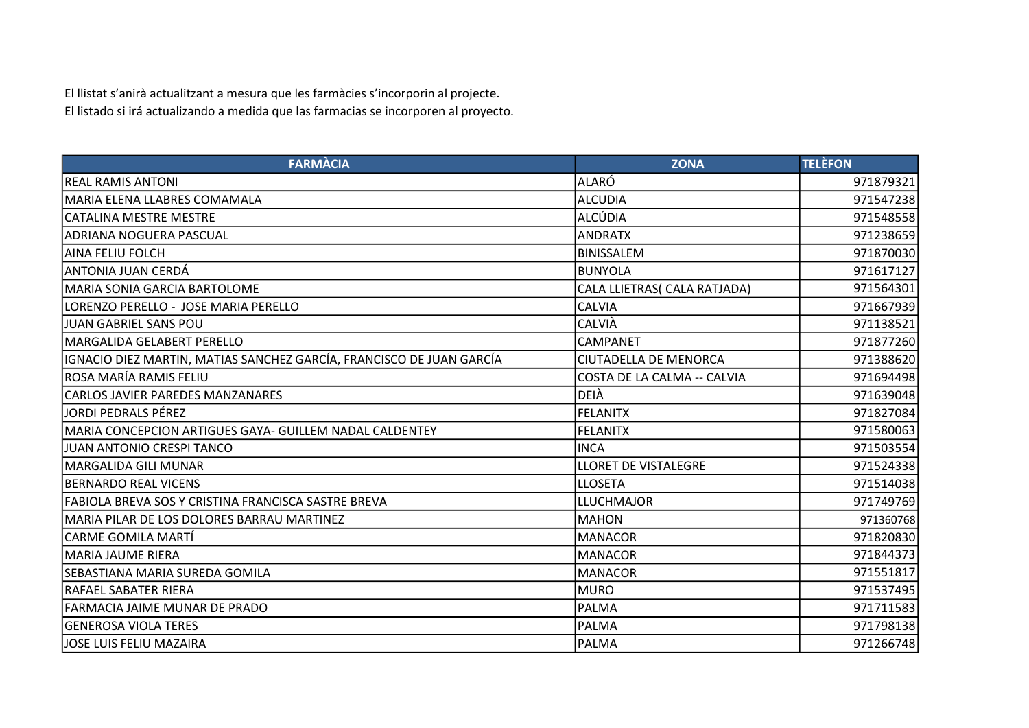El llistat s'anirà actualitzant a mesura que les farmàcies s'incorporin al projecte. El listado si irá actualizando a medida que las farmacias se incorporen al proyecto.

| <b>FARMÀCIA</b>                                                      | <b>ZONA</b>                  | <b>TELÈFON</b> |
|----------------------------------------------------------------------|------------------------------|----------------|
| <b>REAL RAMIS ANTONI</b>                                             | ALARÓ                        | 971879321      |
| MARIA ELENA LLABRES COMAMALA                                         | <b>ALCUDIA</b>               | 971547238      |
| <b>CATALINA MESTRE MESTRE</b>                                        | <b>ALCÚDIA</b>               | 971548558      |
| ADRIANA NOGUERA PASCUAL                                              | <b>ANDRATX</b>               | 971238659      |
| <b>AINA FELIU FOLCH</b>                                              | <b>BINISSALEM</b>            | 971870030      |
| ANTONIA JUAN CERDÁ                                                   | <b>BUNYOLA</b>               | 971617127      |
| MARIA SONIA GARCIA BARTOLOME                                         | CALA LLIETRAS( CALA RATJADA) | 971564301      |
| LORENZO PERELLO - JOSE MARIA PERELLO                                 | <b>CALVIA</b>                | 971667939      |
| JUAN GABRIEL SANS POU                                                | CALVIÀ                       | 971138521      |
| MARGALIDA GELABERT PERELLO                                           | CAMPANET                     | 971877260      |
| IGNACIO DIEZ MARTIN, MATIAS SANCHEZ GARCÍA, FRANCISCO DE JUAN GARCÍA | <b>CIUTADELLA DE MENORCA</b> | 971388620      |
| IROSA MARÍA RAMIS FELIU                                              | COSTA DE LA CALMA -- CALVIA  | 971694498      |
| CARLOS JAVIER PAREDES MANZANARES                                     | DEIÀ                         | 971639048      |
| <b>JORDI PEDRALS PÉREZ</b>                                           | <b>FELANITX</b>              | 971827084      |
| MARIA CONCEPCION ARTIGUES GAYA- GUILLEM NADAL CALDENTEY              | <b>FELANITX</b>              | 971580063      |
| JUAN ANTONIO CRESPI TANCO                                            | <b>INCA</b>                  | 971503554      |
| MARGALIDA GILI MUNAR                                                 | <b>LLORET DE VISTALEGRE</b>  | 971524338      |
| <b>BERNARDO REAL VICENS</b>                                          | <b>LLOSETA</b>               | 971514038      |
| FABIOLA BREVA SOS Y CRISTINA FRANCISCA SASTRE BREVA                  | <b>LLUCHMAJOR</b>            | 971749769      |
| MARIA PILAR DE LOS DOLORES BARRAU MARTINEZ                           | <b>MAHON</b>                 | 971360768      |
| <b>CARME GOMILA MARTÍ</b>                                            | <b>MANACOR</b>               | 971820830      |
| <b>MARIA JAUME RIERA</b>                                             | <b>MANACOR</b>               | 971844373      |
| SEBASTIANA MARIA SUREDA GOMILA                                       | <b>MANACOR</b>               | 971551817      |
| <b>RAFAEL SABATER RIERA</b>                                          | MURO                         | 971537495      |
| FARMACIA JAIME MUNAR DE PRADO                                        | PALMA                        | 971711583      |
| <b>GENEROSA VIOLA TERES</b>                                          | <b>PALMA</b>                 | 971798138      |
| JOSE LUIS FELIU MAZAIRA                                              | <b>PALMA</b>                 | 971266748      |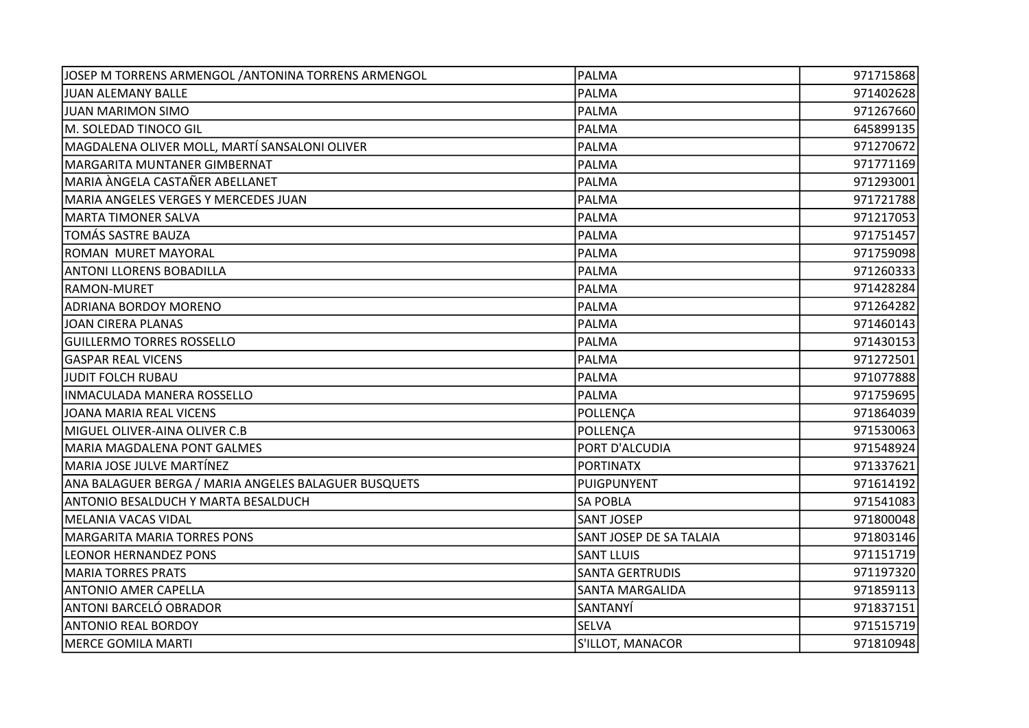| JOSEP M TORRENS ARMENGOL / ANTONINA TORRENS ARMENGOL | PALMA                   | 971715868 |
|------------------------------------------------------|-------------------------|-----------|
| JUAN ALEMANY BALLE                                   | <b>PALMA</b>            | 971402628 |
| <b>JUAN MARIMON SIMO</b>                             | <b>PALMA</b>            | 971267660 |
| M. SOLEDAD TINOCO GIL                                | <b>PALMA</b>            | 645899135 |
| MAGDALENA OLIVER MOLL, MARTÍ SANSALONI OLIVER        | PALMA                   | 971270672 |
| MARGARITA MUNTANER GIMBERNAT                         | <b>PALMA</b>            | 971771169 |
| MARIA ÀNGELA CASTAÑER ABELLANET                      | PALMA                   | 971293001 |
| MARIA ANGELES VERGES Y MERCEDES JUAN                 | <b>PALMA</b>            | 971721788 |
| MARTA TIMONER SALVA                                  | PALMA                   | 971217053 |
| TOMÁS SASTRE BAUZA                                   | <b>PALMA</b>            | 971751457 |
| ROMAN MURET MAYORAL                                  | PALMA                   | 971759098 |
| ANTONI LLORENS BOBADILLA                             | PALMA                   | 971260333 |
| <b>RAMON-MURET</b>                                   | <b>PALMA</b>            | 971428284 |
| <b>ADRIANA BORDOY MORENO</b>                         | <b>PALMA</b>            | 971264282 |
| JOAN CIRERA PLANAS                                   | <b>PALMA</b>            | 971460143 |
| <b>GUILLERMO TORRES ROSSELLO</b>                     | <b>PALMA</b>            | 971430153 |
| <b>GASPAR REAL VICENS</b>                            | <b>PALMA</b>            | 971272501 |
| JUDIT FOLCH RUBAU                                    | PALMA                   | 971077888 |
| INMACULADA MANERA ROSSELLO                           | PALMA                   | 971759695 |
| JOANA MARIA REAL VICENS                              | POLLENÇA                | 971864039 |
| İMIGUEL OLIVER-AINA OLIVER C.B                       | POLLENÇA                | 971530063 |
| MARIA MAGDALENA PONT GALMES                          | PORT D'ALCUDIA          | 971548924 |
| MARIA JOSE JULVE MARTÍNEZ                            | <b>PORTINATX</b>        | 971337621 |
| ANA BALAGUER BERGA / MARIA ANGELES BALAGUER BUSQUETS | PUIGPUNYENT             | 971614192 |
| ANTONIO BESALDUCH Y MARTA BESALDUCH                  | <b>SA POBLA</b>         | 971541083 |
| MELANIA VACAS VIDAL                                  | <b>SANT JOSEP</b>       | 971800048 |
| MARGARITA MARIA TORRES PONS                          | SANT JOSEP DE SA TALAIA | 971803146 |
| <b>LEONOR HERNANDEZ PONS</b>                         | <b>SANT LLUIS</b>       | 971151719 |
| <b>MARIA TORRES PRATS</b>                            | <b>SANTA GERTRUDIS</b>  | 971197320 |
| <b>ANTONIO AMER CAPELLA</b>                          | <b>SANTA MARGALIDA</b>  | 971859113 |
| ANTONI BARCELÓ OBRADOR                               | SANTANYÍ                | 971837151 |
| <b>ANTONIO REAL BORDOY</b>                           | <b>SELVA</b>            | 971515719 |
| MERCE GOMILA MARTI                                   | S'ILLOT, MANACOR        | 971810948 |